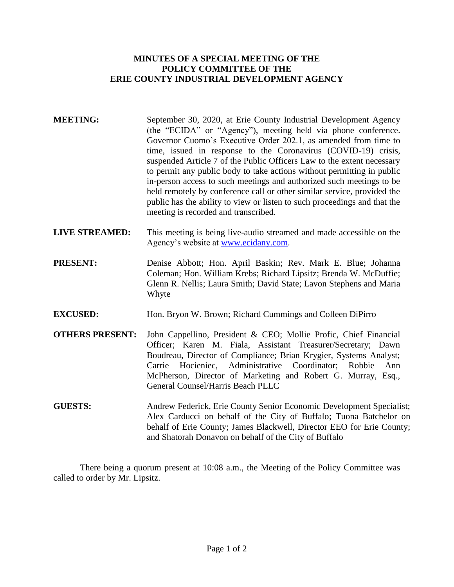## **MINUTES OF A SPECIAL MEETING OF THE POLICY COMMITTEE OF THE ERIE COUNTY INDUSTRIAL DEVELOPMENT AGENCY**

- **MEETING:** September 30, 2020, at Erie County Industrial Development Agency (the "ECIDA" or "Agency"), meeting held via phone conference. Governor Cuomo's Executive Order 202.1, as amended from time to time, issued in response to the Coronavirus (COVID-19) crisis, suspended Article 7 of the Public Officers Law to the extent necessary to permit any public body to take actions without permitting in public in-person access to such meetings and authorized such meetings to be held remotely by conference call or other similar service, provided the public has the ability to view or listen to such proceedings and that the meeting is recorded and transcribed.
- **LIVE STREAMED:** This meeting is being live-audio streamed and made accessible on the Agency's website at [www.ecidany.com.](http://www.ecidany.com/)
- **PRESENT:** Denise Abbott; Hon. April Baskin; Rev. Mark E. Blue; Johanna Coleman; Hon. William Krebs; Richard Lipsitz; Brenda W. McDuffie; Glenn R. Nellis; Laura Smith; David State; Lavon Stephens and Maria Whyte
- **EXCUSED:** Hon. Bryon W. Brown; Richard Cummings and Colleen DiPirro
- **OTHERS PRESENT:** John Cappellino, President & CEO; Mollie Profic, Chief Financial Officer; Karen M. Fiala, Assistant Treasurer/Secretary; Dawn Boudreau, Director of Compliance; Brian Krygier, Systems Analyst; Carrie Hocieniec, Administrative Coordinator; Robbie Ann McPherson, Director of Marketing and Robert G. Murray, Esq., General Counsel/Harris Beach PLLC
- **GUESTS:** Andrew Federick, Erie County Senior Economic Development Specialist; Alex Carducci on behalf of the City of Buffalo; Tuona Batchelor on behalf of Erie County; James Blackwell, Director EEO for Erie County; and Shatorah Donavon on behalf of the City of Buffalo

There being a quorum present at 10:08 a.m., the Meeting of the Policy Committee was called to order by Mr. Lipsitz.